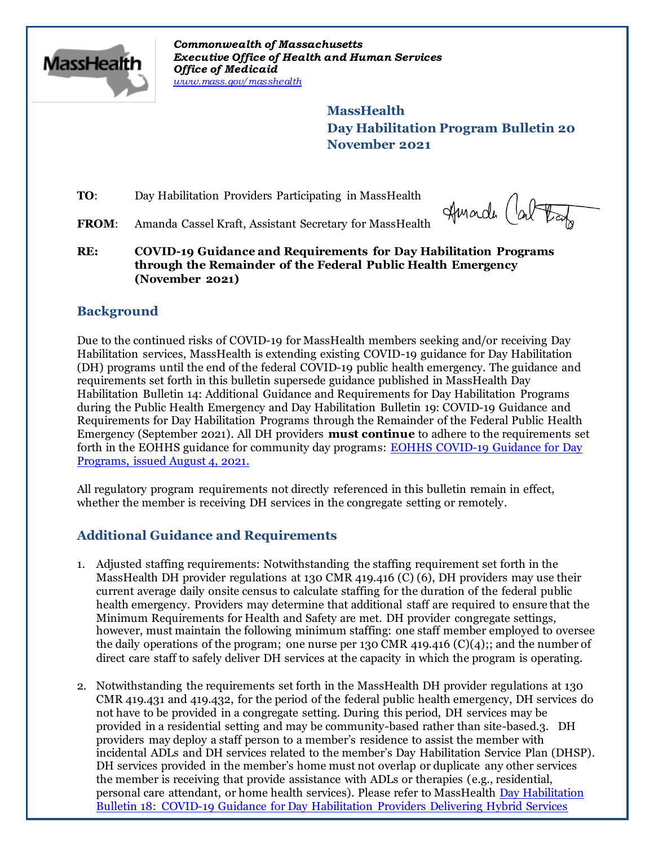

*Commonwealth of Massachusetts Executive Office of Health and Human Services Office of Medicaid [www.mass.gov/masshealth](http://www.mass.gov/masshealth)*

> **MassHealth Day Habilitation Program Bulletin 20 November 2021**

**TO:** Day Habilitation Providers Participating in MassHealth

Amarde (al

FROM: Amanda Cassel Kraft, Assistant Secretary for MassHealth

**RE: COVID-19 Guidance and Requirements for Day Habilitation Programs through the Remainder of the Federal Public Health Emergency (November 2021)**

# **Background**

Due to the continued risks of COVID-19 for MassHealth members seeking and/or receiving Day Habilitation services, MassHealth is extending existing COVID-19 guidance for Day Habilitation (DH) programs until the end of the federal COVID-19 public health emergency. The guidance and requirements set forth in this bulletin supersede guidance published in MassHealth Day Habilitation Bulletin 14: Additional Guidance and Requirements for Day Habilitation Programs during the Public Health Emergency and Day Habilitation Bulletin 19: COVID-19 Guidance and Requirements for Day Habilitation Programs through the Remainder of the Federal Public Health Emergency (September 2021)*.* All DH providers **must continue** to adhere to the requirements set forth in the EOHHS guidance for community day programs: [EOHHS COVID-19 Guidance for Day](https://www.mass.gov/info-details/covid-19-public-health-guidance-and-directives)  [Programs, issued August 4, 2021.](https://www.mass.gov/info-details/covid-19-public-health-guidance-and-directives)

All regulatory program requirements not directly referenced in this bulletin remain in effect, whether the member is receiving DH services in the congregate setting or remotely.

# **Additional Guidance and Requirements**

- 1. Adjusted staffing requirements: Notwithstanding the staffing requirement set forth in the MassHealth DH provider regulations at 130 CMR 419.416 (C) (6), DH providers may use their current average daily onsite census to calculate staffing for the duration of the federal public health emergency. Providers may determine that additional staff are required to ensure that the Minimum Requirements for Health and Safety are met. DH provider congregate settings, however, must maintain the following minimum staffing: one staff member employed to oversee the daily operations of the program; one nurse per 130 CMR 419.416 (C)(4);; and the number of direct care staff to safely deliver DH services at the capacity in which the program is operating.
- 2. Notwithstanding the requirements set forth in the MassHealth DH provider regulations at 130 CMR 419.431 and 419.432, for the period of the federal public health emergency, DH services do not have to be provided in a congregate setting. During this period, DH services may be provided in a residential setting and may be community-based rather than site-based.3. DH providers may deploy a staff person to a member's residence to assist the member with incidental ADLs and DH services related to the member's Day Habilitation Service Plan (DHSP). DH services provided in the member's home must not overlap or duplicate any other services the member is receiving that provide assistance with ADLs or therapies (e.g., residential, personal care attendant, or home health services). Please refer to MassHealth [Day Habilitation](https://www.mass.gov/lists/masshealth-provider-bulletins-by-provider-type-d-h)  [Bulletin 18: COVID-19 Guidance for Day Habilitation Providers Delivering Hybrid Services](https://www.mass.gov/lists/masshealth-provider-bulletins-by-provider-type-d-h)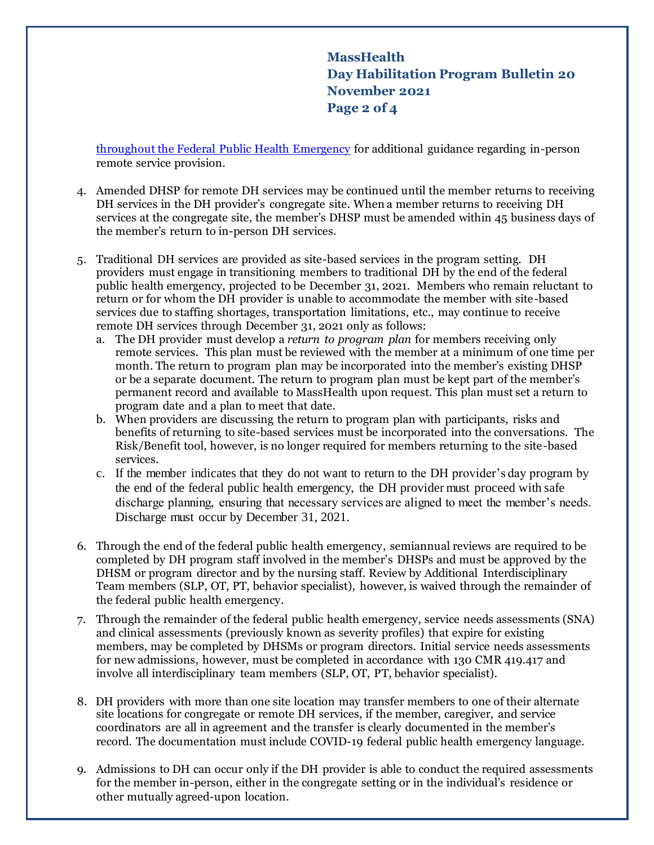**MassHealth Day Habilitation Program Bulletin 20 November 2021 Page 2 of 4**

[throughout the Federal Public Health Emergency](https://www.mass.gov/lists/masshealth-provider-bulletins-by-provider-type-d-h) for additional guidance regarding in-person remote service provision.

- 4. Amended DHSP for remote DH services may be continued until the member returns to receiving DH services in the DH provider's congregate site. When a member returns to receiving DH services at the congregate site, the member's DHSP must be amended within 45 business days of the member's return to in-person DH services.
- 5. Traditional DH services are provided as site-based services in the program setting. DH providers must engage in transitioning members to traditional DH by the end of the federal public health emergency, projected to be December 31, 2021. Members who remain reluctant to return or for whom the DH provider is unable to accommodate the member with site-based services due to staffing shortages, transportation limitations, etc., may continue to receive remote DH services through December 31, 2021 only as follows:
	- a. The DH provider must develop a *return to program plan* for members receiving only remote services. This plan must be reviewed with the member at a minimum of one time per month. The return to program plan may be incorporated into the member's existing DHSP or be a separate document. The return to program plan must be kept part of the member's permanent record and available to MassHealth upon request. This plan must set a return to program date and a plan to meet that date.
	- b. When providers are discussing the return to program plan with participants, risks and benefits of returning to site-based services must be incorporated into the conversations. The Risk/Benefit tool, however, is no longer required for members returning to the site-based services.
	- c. If the member indicates that they do not want to return to the DH provider's day program by the end of the federal public health emergency, the DH provider must proceed with safe discharge planning, ensuring that necessary services are aligned to meet the member's needs. Discharge must occur by December 31, 2021.
- 6. Through the end of the federal public health emergency, semiannual reviews are required to be completed by DH program staff involved in the member's DHSPs and must be approved by the DHSM or program director and by the nursing staff. Review by Additional Interdisciplinary Team members (SLP, OT, PT, behavior specialist), however, is waived through the remainder of the federal public health emergency.
- 7. Through the remainder of the federal public health emergency, service needs assessments (SNA) and clinical assessments (previously known as severity profiles) that expire for existing members, may be completed by DHSMs or program directors. Initial service needs assessments for new admissions, however, must be completed in accordance with 130 CMR 419.417 and involve all interdisciplinary team members (SLP, OT, PT, behavior specialist).
- 8. DH providers with more than one site location may transfer members to one of their alternate site locations for congregate or remote DH services, if the member, caregiver, and service coordinators are all in agreement and the transfer is clearly documented in the member's record. The documentation must include COVID-19 federal public health emergency language.
- 9. Admissions to DH can occur only if the DH provider is able to conduct the required assessments for the member in-person, either in the congregate setting or in the individual's residence or other mutually agreed-upon location.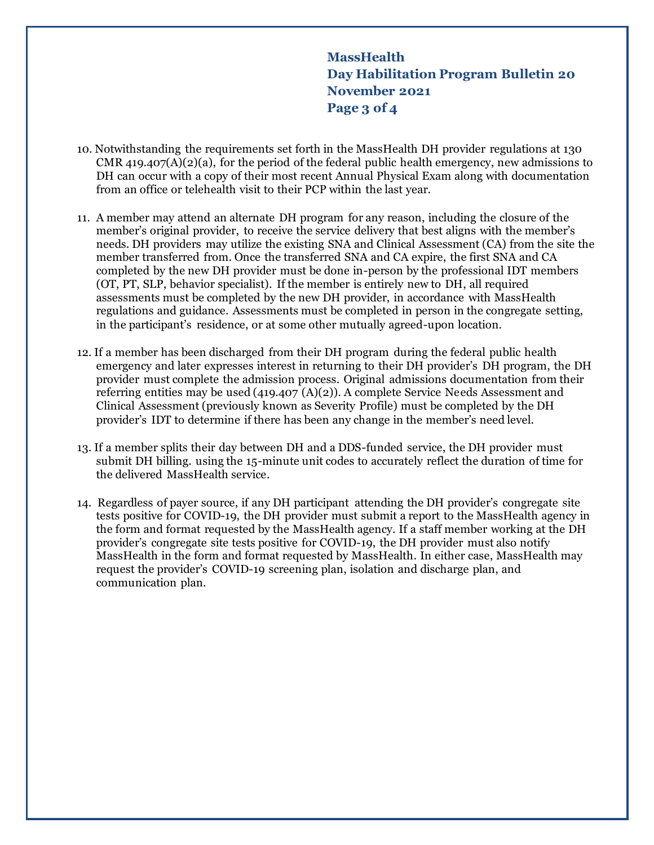**MassHealth Day Habilitation Program Bulletin 20 November 2021 Page 3 of 4**

- 10. Notwithstanding the requirements set forth in the MassHealth DH provider regulations at 130 CMR 419.407(A)(2)(a), for the period of the federal public health emergency, new admissions to DH can occur with a copy of their most recent Annual Physical Exam along with documentation from an office or telehealth visit to their PCP within the last year.
- 11. A member may attend an alternate DH program for any reason, including the closure of the member's original provider, to receive the service delivery that best aligns with the member's needs. DH providers may utilize the existing SNA and Clinical Assessment (CA) from the site the member transferred from. Once the transferred SNA and CA expire, the first SNA and CA completed by the new DH provider must be done in-person by the professional IDT members (OT, PT, SLP, behavior specialist). If the member is entirely new to DH, all required assessments must be completed by the new DH provider, in accordance with MassHealth regulations and guidance. Assessments must be completed in person in the congregate setting, in the participant's residence, or at some other mutually agreed-upon location.
- 12. If a member has been discharged from their DH program during the federal public health emergency and later expresses interest in returning to their DH provider's DH program, the DH provider must complete the admission process. Original admissions documentation from their referring entities may be used  $(419.407 \text{ (A)}(2))$ . A complete Service Needs Assessment and Clinical Assessment (previously known as Severity Profile) must be completed by the DH provider's IDT to determine if there has been any change in the member's need level.
- 13. If a member splits their day between DH and a DDS-funded service, the DH provider must submit DH billing. using the 15-minute unit codes to accurately reflect the duration of time for the delivered MassHealth service.
- 14. Regardless of payer source, if any DH participant attending the DH provider's congregate site tests positive for COVID-19, the DH provider must submit a report to the MassHealth agency in the form and format requested by the MassHealth agency. If a staff member working at the DH provider's congregate site tests positive for COVID-19, the DH provider must also notify MassHealth in the form and format requested by MassHealth. In either case, MassHealth may request the provider's COVID-19 screening plan, isolation and discharge plan, and communication plan.